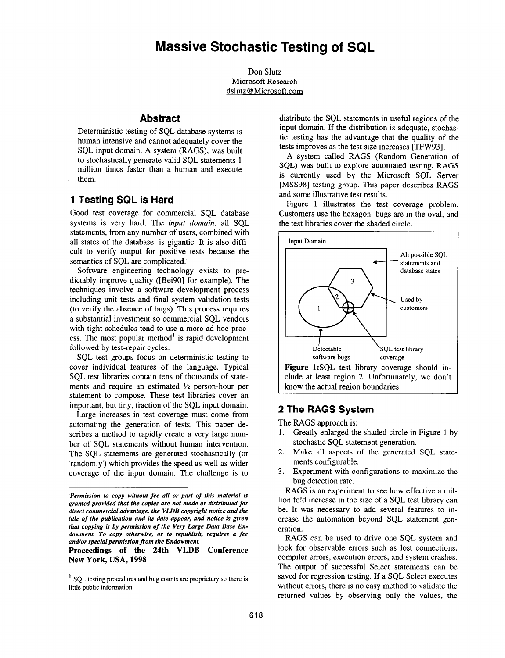Don Slutz Microsoft Research dslutz@Microsoft.com

## **Abstract**

Deterministic testing of SQL database systems is human intensive and cannot adequately cover the SQL input domain. A system (RAGS), was built to stochastically generate valid SQL statements 1 million times faster than a human and execute them.

# 1 Testing SQL is Hard

Good test coverage for commercial SQL database systems is very hard. The *input domain*, all SOL statements, from any number of users, combined with all states of the database, is gigantic. It is also difficult to verify output for positive tests because the semantics of SQL are complicated.'

Software engineering technology exists to predictably improve quality ([Bei90] for example). The techniques involve a software development process including unit tests and final system validation tests (to verify the absence of bugs). This process requires a substantial investment so commercial SQL vendors with tight schedules tend to use a more ad hoc process. The most popular method<sup>1</sup> is rapid development followed by test-repair cycles.

SQL test groups focus on deterministic testing to cover individual features of the language. Typical SQL test libraries contain tens of thousands of statements and require an estimated  $\frac{1}{2}$  person-hour per statement to compose. These test libraries cover an important, but tiny, fraction of the SQL input domain.

Large increases in test coverage must come from automating the generation of tests. This paper describes a method to rapidly create a very large number of SQL statements without human intervention. The SQL statements are generated stochastically (or 'randomly') which provides the speed as well as wider coverage of the input domain. The challenge is to

Proceedings of the 24th VLDB Conference New York, USA, 1998

distribute the SQL statements in useful regions of the input domain. If the distribution is adequate, stochastic testing has the advantage that the quality of the tests improves as the test size increases [TFW93].

A system called RAGS (Random Generation of SQL) was built to explore automated testing. RAGS is currently used by the Microsoft SQL Server [MSS98] testing group. This paper describes RAGS and some illustrative test results.

Figure 1 illustrates the test coverage problem. Customers use the hexagon, bugs are in the oval, and the test libraries cover the shaded circle.



# 2 The RAGS System

The RAGS approach is:

- 1. Greatly enlarged the shaded circle in Figure 1 by stochastic SQL statement generation.
- 2. Make all aspects of the generated SQL statements configurable.
- 3. Experiment with configurations to maximize the bug detection rate.

RAGS is an experiment to see how effective a million fold increase in the size of a SQL test library can be. It was necessary to add several features to increase the automation beyond SQL statement generation.

RAGS can be used to drive one SQL system and look for observable errors such as lost connections, compiler errors, execution errors, and system crashes. The output of successful Select statements can be saved for regression testing. If a SQL Select executes without errors, there is no easy method to validate the returned values by observing only the values, the

<sup>&#</sup>x27;Permission to copy without fee all or part of this material is granted provided that the copies are not made or distributed for direct commercial advantage, the VLDB copyright notice and the title of the publication and its date appear, and notice is given that copying is by permission of the Very Large Data Base Endowment. To copy otherwise, or to republish, requires a fee and/or special permission from the Endowment.

<sup>&#</sup>x27; SQL testing procedures and bug counts are proprietary so there is little public information.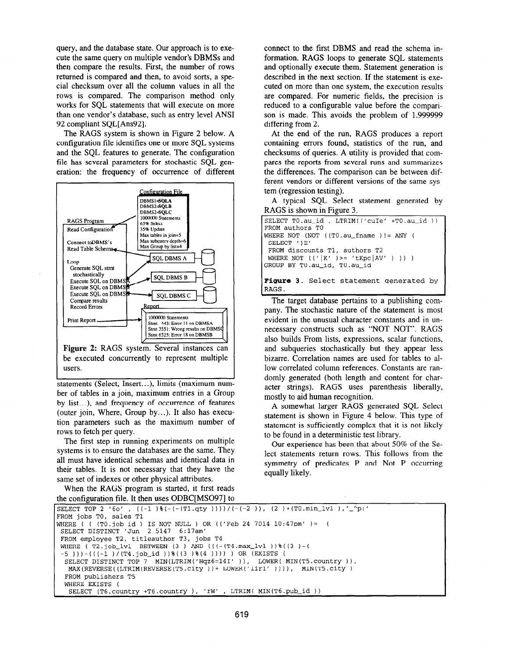query, and the database state. Our approach is to execute the same query on multiple vendor's DBMSs and then compare the results. First, the number of rows returned is compared and then, to avoid sorts, a special checksum over all the column values in all the rows is compared. The comparison method only works for SQL statements that will execute on more than one vendor's database, such as entry level ANSI 92 compliant SQL[Ans92].

The RAGS system is shown in Figure 2 below. A configuration file identifies one or more SQL systems and the SQL features to generate. The configuration file has several parameters for stochastic SQL generation: the frequency of occurrence of different



Figure 2: RAGS system. Several instances can be executed concurrently to represent multiple users.

statements (Select, Insert.. .), limits (maximum number of tables in a join, maximum entries in a Group by list...), and frequency of occurrence of features (outer join, Where, Group by.. .). It also has execution parameters such as the maximum number of rows to fetch per query.

The first step in running experiments on multiple systems is to ensure the databases are the same. They all must have identical schemas and identical data in their tables. It is not necessary that they have the same set of indexes or other physical attributes.

When the RAGS program is started, it first reads the configuration tile. It then uses ODBC[MS097] to connect to the first DBMS and read the schema information. RAGS loops to generate SQL statements and optionally execute them. Statement generation is described in the next section. If the statement is executed on more than one system, the execution results are compared. For numeric fields, the precision is reduced to a configurable value before the comparison is made. This avoids the problem of 1.999999 differing from 2.

At the end of the run, RAGS produces a report containing errors found, statistics of the run, and checksums of queries. A utility is provided that compares the reports from several runs and summarizes the differences. The comparison can be between different vendors or different versions of the same system (regression testing).

A typical SQL Select statement generated by RAGS is shown in Figure 3.

| SELECT TO.au_id, LTRIM(('cuIe' +TO.au_id))<br>FROM authors TO |
|---------------------------------------------------------------|
|                                                               |
| $[WHERE NOT (NOT (T0.au_fname ) != ANY ($                     |
| SELECT ' ' E'                                                 |
| FROM discounts T1, authors T2                                 |
| WHERE NOT $(('   K' )) = 'tKpc   AV' ) ) )$                   |
| GROUP BY TO.au_id, TO.au_id                                   |
|                                                               |
| <b>Figure 3</b> . Select statement generated by               |
| IRAGS.                                                        |

acter strings). RAGS uses parenthesis liberally, The target database pertains to a publishing company. The stochastic nature of the statement is most mostly to aid human recognition. evident in the unusual character constants and in unnecessary constructs such as "NOT NOT". RAGS also builds From lists, expressions, scalar functions, and subqueries stochastically but they appear less bizarre. Correlation names are used for tables to allow correlated column references. Constants are randomly generated (both length and content for char-

A somewhat larger RAGS generated SQL Select statement is shown in Figure 4 below. This type of statement is sufficiently complex that it is not likely to be found in a deterministic test library.

Our experience has been that about 50% of the Select statements return rows. This follows from the symmetry of predicates P and Not P occurring equally likely.

```
SELECT TOP 2 '60' , ((-1) \{(-(1-qty))\})/((-2) ), (2) + (T0.min\_lvl), '_^p:'
FROM jobs TO, sales Tl 
WHERE ( ( (TO.job-id ) IS NOT NULL ) OR (('Feb 24 7014 10:47pm' )= ( 
SELECT DISTINCT 'Jun 2 5147 6:17am' 
FROM employee T2, titleauthor T3, jobs T4 
WHERE ( T2.job_lvl BETWEEN (3 ) AND ((-(T4.max\_1v1))\ ((3 )-(
 -5 )))-(((-1 )/(T4.job_id ))%((3 )%(4 ))))) ) OR (EXISTS (
  SELECT DISTINCT TOP 7 MIN(LTRIM('Hqz6=14I' )), LOWER( MIN(T5.country )),
  MAX(REVERSE((LTRIM(REVERSE(T5.city))+ LOWER('Iir1' )))), MIN(T5.city)
  FROM publishers T5 
  WHERE EXISTS ( 
   SELECT (T6.country +T6.country ), 'rW' , LTRIM( MIN(T6.pub_id ))
```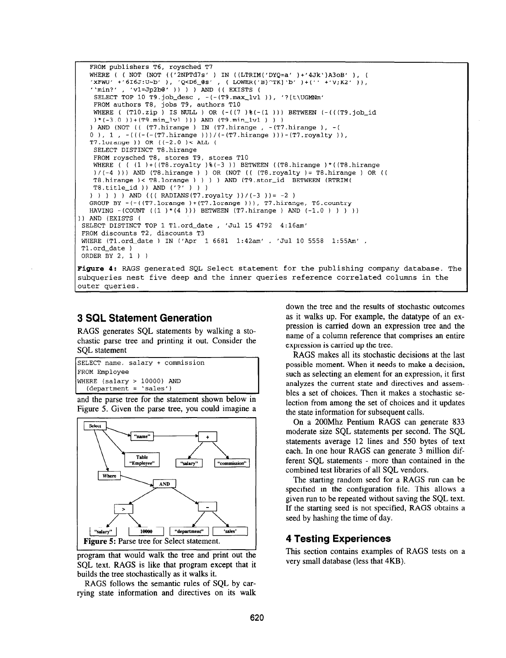```
FROM publishers T6, roysched T7
   WHERE ( ( NOT (NOT (('2NPTd7s' ) IN ((LTRIM('DYQ=a' )+'4Jk')A3oB' ), ( 
   'xFWU' +'616J:U-b' ), 'Q<D6_4s' , ( LOWER('B}^TK]'b' )+(" +'V;K2' )), 
   '\min?', 'v1=Jp2b@' )) ) AND (( EXISTS (
   SELECT TOP 10 T9.job_desc , -(-(T9.max_lvl )), '?[t\UGMNm
   FROM authors T8, jobs T9, authors TlO 
   WHERE ( (T10.zip) IS NULL ) OR (-(7)*(-(1))) BETWEEN (-( (7.10)(*) * (-3.0 ) * (T9.min_lv1 )) AND (T9.min_lv1 ) ) )) AND (NOT (( (T7.hirange ) IN (T7.hirange , -(T7.hirange ), -( 
  0 ), 1 , -(((-T7.hirange)))/(-(T7.hirange)))-(T7.royalty)),T7.1orange )) OR ((-2.0 )< ALL (
   SELECT DISTINCT TB.hirange 
   FROM roysched T8, stores T9, stores TlO 
   WHERE ( (1) + ((T8.royalty) * (-3) ) BETWEEN ((T8.hirange) * ((T8.hirange))/(-4 ))) AND (T8.hirange ) ) OR (NOT (( (T8.royalty )= TB.hirange ) OR (( 
   TB.hirange )< TB.lorange ) ) ) ) AND (Tg.stor-id BETWEEN (RTRIM( 
   T8.title_id )) AND ('?') ) )
  ) ) ) ) AND ((( RADIANS(T7.royalty ))/(-3 )) = -2 )
  GROUP BY -(-((T7.lorange )+(T7.lorange ))), T7.hirange, T6.country 
  HAVING -(COUNT ((1) * (4) )) BETWEEN (T7.hirange ) AND (-1.0 ) ) ) )) AND (EXISTS ( 
SELECT DISTINCT TOP 1 Tl.ord-date , 'Jul 15 4792 4:16am' 
FROM discounts T2, discounts T3 
WHERE (Tl.ord-date ) IN ('Apr 1 6681 1:42am' , 'Jul 10 5558 1:55Am' , 
Tl.ord-date ) 
ORDER BY 2, 1 ) ) 
Figure 4: RAGS generated SQL Select statement for the publishing company database. The
```
subqueries nest five deep and the inner queries reference correlated columns in the outer queries.

## 3 SQL Statement Generation

RAGS generates SQL statements by walking a stochastic parse tree and printing it out. Consider the SQL statement

```
SELECT name, salary + commission 
FROM Employee 
WHERE (salary > 10000) AND 
  (department = 'sales')
```
and the parse tree for the statement shown below in Figure 5. Given the parse tree, you could imagine a



program that would walk the tree and print out the SQL text. RAGS is like that program except that it builds the tree stochastically as it walks it.

RAGS follows the semantic rules of SQL by carrying state information and directives on its walk

down the tree and the results of stochastic outcomes as it walks up. For example, the datatype of an expression is carried down an expression tree and the name of a column reference that comprises an entire expression is carried up the tree.

RAGS makes all its stochastic decisions at the last possible moment. When it needs to make a decision, such as selecting an element for an expression, it first analyzes the current state and directives and assembles a set of choices. Then it makes a stochastic selection from among the set of choices and it updates the state information for subsequent calls.

On a 200Mhz Pentium RAGS can generate 833 moderate size SQL statements per second. The SQL statements average 12 lines and 550 bytes of text each. In one hour RAGS can generate 3 million different SQL statements - more than contained in the combined test libraries of all SQL vendors.

The starting random seed for a RAGS run can be specified in the configuration file. This allows a given run to be repeated without saving the SQL text. If the starting seed is not specified, RAGS obtains a seed by hashing the time of day.

This section contains examples of RAGS tests on a very small database (less that 4KB).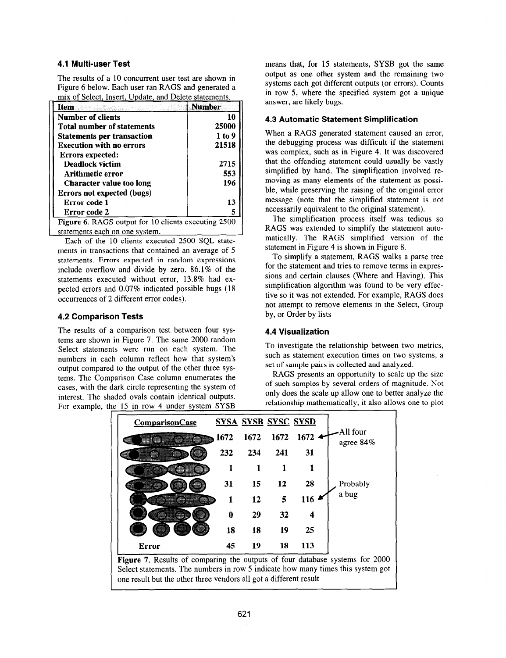### 4.1 Multi-user Test

The results of a 10 concurrent user test are shown in Figure 6 below. Each user ran RAGS and generated a mix of Select, Insert, Update, and Delete statements.

| Item                                                | Number |
|-----------------------------------------------------|--------|
| Number of clients                                   | 10     |
| <b>Total number of statements</b>                   | 25000  |
| <b>Statements per transaction</b>                   | 1 to 9 |
| <b>Execution with no errors</b>                     | 21518  |
| Errors expected:                                    |        |
| <b>Deadlock victim</b>                              | 2715   |
| Arithmetic error                                    | 553    |
| <b>Character value too long</b>                     | 196    |
| <b>Errors not expected (bugs)</b>                   |        |
| Error code 1                                        | 13     |
| Error code 2                                        |        |
| Figure 6. RAGS output for 10 clients executing 2500 |        |
| statements each on one system.                      |        |

Each of the 10 clients executed 2500 SQL statements in transactions that contained an average of 5 statements, Errors expected in random expressions include overflow and divide by zero. 86.1% of the statements executed without error, 13.8% had expected errors and 0.07% indicated possible bugs (18 occurrences of 2 different error codes).

#### 4.2 Comparison Tests

The results of a comparison test between four systems are shown in Figure 7. The same 2000 random Select statements were run on each system. The numbers in each column reflect how that system's output compared to the output of the other three systems. The Comparison Case column enumerates the cases, with the dark circle representing the system of interest. The shaded ovals contain identical outputs. For example, the 15 in row 4 under system SYSB

means that, for 15 statements, SYSB got the same output as one other system and the remaining two systems each got different outputs (or errors). Counts in row 5, where the specified system got a unique answer, are likely bugs.

#### 4.3 Automatic Statement Simplification

When a RAGS generated statement caused an error, the debugging process was difficult if the statement was complex, such as in Figure 4. It was discovered that the offending statement could usually be vastly simplified by hand. The simplification involved removing as many elements of the statement as possible, while preserving the raising of the original error message (note that the simplified statement is not necessarily equivalent to the original statement).

The simplification process itself was tedious so RAGS was extended to simplify the statement automatically. The RAGS simplified version of the statement in Figure 4 is shown in Figure 8.

To simplify a statement, RAGS walks a parse tree for the statement and tries to remove terms in expressions and certain clauses (Where and Having). This simplification algorithm was found to be very effective so it was not extended. For example, RAGS does not attempt to remove elements in the Select, Group by, or Order by lists

## 4.4 Visualization

To investigate the relationship between two metrics, such as statement execution times on two systems, a set of sample pairs is collected and analyzed.

RAGS presents an opportunity to scale up the size of such samples by several orders of magnitude. Not only does the scale up allow one to better analyze the relationship mathematically, it also allows one to plot